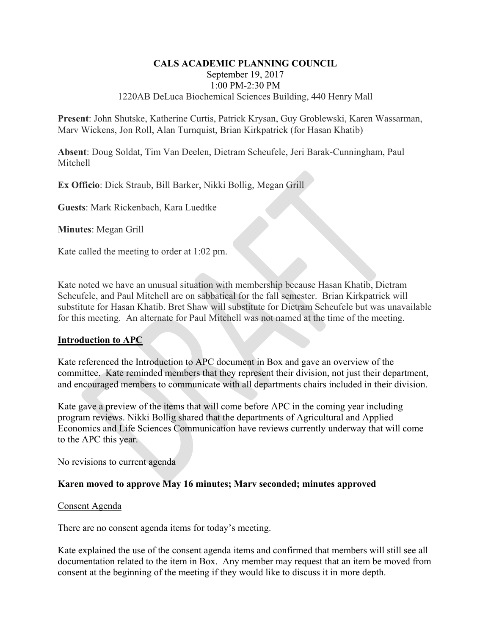### **CALS ACADEMIC PLANNING COUNCIL**  September 19, 2017 1:00 PM-2:30 PM 1220AB DeLuca Biochemical Sciences Building, 440 Henry Mall

**Present**: John Shutske, Katherine Curtis, Patrick Krysan, Guy Groblewski, Karen Wassarman, Marv Wickens, Jon Roll, Alan Turnquist, Brian Kirkpatrick (for Hasan Khatib)

**Absent**: Doug Soldat, Tim Van Deelen, Dietram Scheufele, Jeri Barak-Cunningham, Paul Mitchell

**Ex Officio**: Dick Straub, Bill Barker, Nikki Bollig, Megan Grill

**Guests**: Mark Rickenbach, Kara Luedtke

**Minutes**: Megan Grill

Kate called the meeting to order at 1:02 pm.

Kate noted we have an unusual situation with membership because Hasan Khatib, Dietram Scheufele, and Paul Mitchell are on sabbatical for the fall semester. Brian Kirkpatrick will substitute for Hasan Khatib. Bret Shaw will substitute for Dietram Scheufele but was unavailable for this meeting. An alternate for Paul Mitchell was not named at the time of the meeting.

# **Introduction to APC**

Kate referenced the Introduction to APC document in Box and gave an overview of the committee. Kate reminded members that they represent their division, not just their department, and encouraged members to communicate with all departments chairs included in their division.

Kate gave a preview of the items that will come before APC in the coming year including program reviews. Nikki Bollig shared that the departments of Agricultural and Applied Economics and Life Sciences Communication have reviews currently underway that will come to the APC this year.

No revisions to current agenda

### **Karen moved to approve May 16 minutes; Marv seconded; minutes approved**

#### Consent Agenda

There are no consent agenda items for today's meeting.

Kate explained the use of the consent agenda items and confirmed that members will still see all documentation related to the item in Box. Any member may request that an item be moved from consent at the beginning of the meeting if they would like to discuss it in more depth.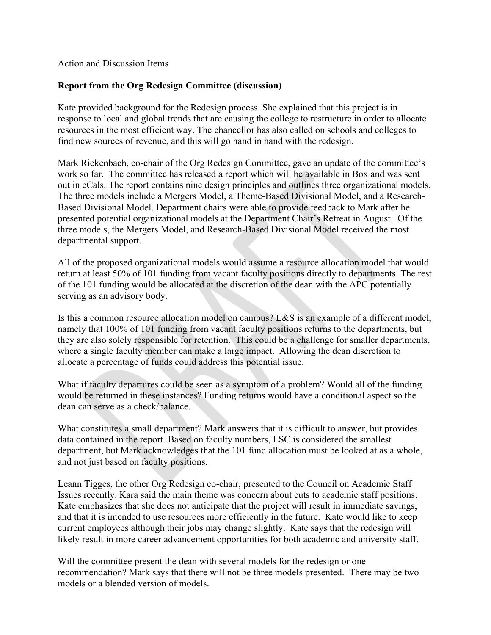### Action and Discussion Items

# **Report from the Org Redesign Committee (discussion)**

Kate provided background for the Redesign process. She explained that this project is in response to local and global trends that are causing the college to restructure in order to allocate resources in the most efficient way. The chancellor has also called on schools and colleges to find new sources of revenue, and this will go hand in hand with the redesign.

Mark Rickenbach, co-chair of the Org Redesign Committee, gave an update of the committee's work so far. The committee has released a report which will be available in Box and was sent out in eCals. The report contains nine design principles and outlines three organizational models. The three models include a Mergers Model, a Theme-Based Divisional Model, and a Research-Based Divisional Model. Department chairs were able to provide feedback to Mark after he presented potential organizational models at the Department Chair's Retreat in August. Of the three models, the Mergers Model, and Research-Based Divisional Model received the most departmental support.

All of the proposed organizational models would assume a resource allocation model that would return at least 50% of 101 funding from vacant faculty positions directly to departments. The rest of the 101 funding would be allocated at the discretion of the dean with the APC potentially serving as an advisory body.

Is this a common resource allocation model on campus? L&S is an example of a different model, namely that 100% of 101 funding from vacant faculty positions returns to the departments, but they are also solely responsible for retention. This could be a challenge for smaller departments, where a single faculty member can make a large impact. Allowing the dean discretion to allocate a percentage of funds could address this potential issue.

What if faculty departures could be seen as a symptom of a problem? Would all of the funding would be returned in these instances? Funding returns would have a conditional aspect so the dean can serve as a check/balance.

What constitutes a small department? Mark answers that it is difficult to answer, but provides data contained in the report. Based on faculty numbers, LSC is considered the smallest department, but Mark acknowledges that the 101 fund allocation must be looked at as a whole, and not just based on faculty positions.

Leann Tigges, the other Org Redesign co-chair, presented to the Council on Academic Staff Issues recently. Kara said the main theme was concern about cuts to academic staff positions. Kate emphasizes that she does not anticipate that the project will result in immediate savings, and that it is intended to use resources more efficiently in the future. Kate would like to keep current employees although their jobs may change slightly. Kate says that the redesign will likely result in more career advancement opportunities for both academic and university staff.

Will the committee present the dean with several models for the redesign or one recommendation? Mark says that there will not be three models presented. There may be two models or a blended version of models.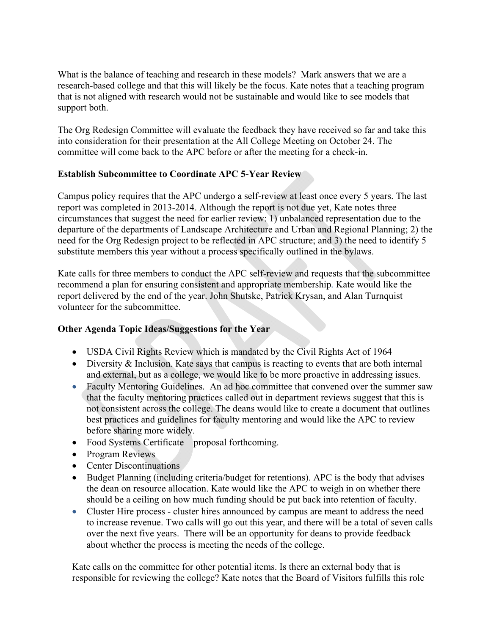What is the balance of teaching and research in these models? Mark answers that we are a research-based college and that this will likely be the focus. Kate notes that a teaching program that is not aligned with research would not be sustainable and would like to see models that support both.

The Org Redesign Committee will evaluate the feedback they have received so far and take this into consideration for their presentation at the All College Meeting on October 24. The committee will come back to the APC before or after the meeting for a check-in.

# **Establish Subcommittee to Coordinate APC 5-Year Review**

Campus policy requires that the APC undergo a self-review at least once every 5 years. The last report was completed in 2013-2014. Although the report is not due yet, Kate notes three circumstances that suggest the need for earlier review: 1) unbalanced representation due to the departure of the departments of Landscape Architecture and Urban and Regional Planning; 2) the need for the Org Redesign project to be reflected in APC structure; and 3) the need to identify 5 substitute members this year without a process specifically outlined in the bylaws.

Kate calls for three members to conduct the APC self-review and requests that the subcommittee recommend a plan for ensuring consistent and appropriate membership*.* Kate would like the report delivered by the end of the year. John Shutske, Patrick Krysan, and Alan Turnquist volunteer for the subcommittee.

# **Other Agenda Topic Ideas/Suggestions for the Year**

- USDA Civil Rights Review which is mandated by the Civil Rights Act of 1964
- Diversity & Inclusion. Kate says that campus is reacting to events that are both internal and external, but as a college, we would like to be more proactive in addressing issues.
- Faculty Mentoring Guidelines*.* An ad hoc committee that convened over the summer saw that the faculty mentoring practices called out in department reviews suggest that this is not consistent across the college. The deans would like to create a document that outlines best practices and guidelines for faculty mentoring and would like the APC to review before sharing more widely.
- Food Systems Certificate proposal forthcoming.
- Program Reviews
- Center Discontinuations
- Budget Planning (including criteria/budget for retentions). APC is the body that advises the dean on resource allocation. Kate would like the APC to weigh in on whether there should be a ceiling on how much funding should be put back into retention of faculty.
- Cluster Hire process cluster hires announced by campus are meant to address the need to increase revenue. Two calls will go out this year, and there will be a total of seven calls over the next five years. There will be an opportunity for deans to provide feedback about whether the process is meeting the needs of the college.

Kate calls on the committee for other potential items. Is there an external body that is responsible for reviewing the college? Kate notes that the Board of Visitors fulfills this role